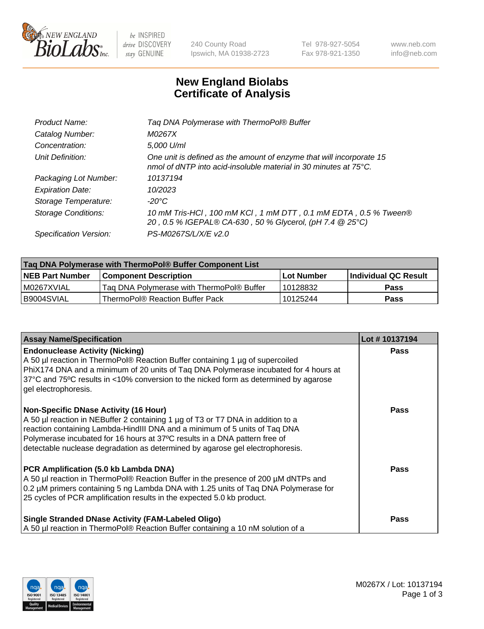

 $be$  INSPIRED drive DISCOVERY stay GENUINE

240 County Road Ipswich, MA 01938-2723 Tel 978-927-5054 Fax 978-921-1350 www.neb.com info@neb.com

## **New England Biolabs Certificate of Analysis**

| Tag DNA Polymerase with ThermoPol® Buffer                                                                                                |
|------------------------------------------------------------------------------------------------------------------------------------------|
| M0267X                                                                                                                                   |
| 5,000 U/ml                                                                                                                               |
| One unit is defined as the amount of enzyme that will incorporate 15<br>nmol of dNTP into acid-insoluble material in 30 minutes at 75°C. |
| 10137194                                                                                                                                 |
| 10/2023                                                                                                                                  |
| $-20^{\circ}$ C                                                                                                                          |
| 10 mM Tris-HCl, 100 mM KCl, 1 mM DTT, 0.1 mM EDTA, 0.5 % Tween®<br>20, 0.5 % IGEPAL® CA-630, 50 % Glycerol, (pH 7.4 @ 25°C)              |
| PS-M0267S/L/X/E v2.0                                                                                                                     |
|                                                                                                                                          |

| Tag DNA Polymerase with ThermoPol® Buffer Component List |                                           |                   |                      |  |  |
|----------------------------------------------------------|-------------------------------------------|-------------------|----------------------|--|--|
| <b>NEB Part Number</b>                                   | Component Description_                    | <b>Lot Number</b> | Individual QC Result |  |  |
| I M0267XVIAL                                             | Tag DNA Polymerase with ThermoPol® Buffer | 10128832          | Pass                 |  |  |
| B9004SVIAL                                               | ThermoPol® Reaction Buffer Pack           | 10125244          | Pass                 |  |  |

| <b>Assay Name/Specification</b>                                                                                                                                                                                                                                                                                                                                              | Lot #10137194 |
|------------------------------------------------------------------------------------------------------------------------------------------------------------------------------------------------------------------------------------------------------------------------------------------------------------------------------------------------------------------------------|---------------|
| <b>Endonuclease Activity (Nicking)</b><br>A 50 µl reaction in ThermoPol® Reaction Buffer containing 1 µg of supercoiled<br>PhiX174 DNA and a minimum of 20 units of Tag DNA Polymerase incubated for 4 hours at<br>37°C and 75°C results in <10% conversion to the nicked form as determined by agarose<br>gel electrophoresis.                                              | Pass          |
| <b>Non-Specific DNase Activity (16 Hour)</b><br>A 50 µl reaction in NEBuffer 2 containing 1 µg of T3 or T7 DNA in addition to a<br>reaction containing Lambda-HindIII DNA and a minimum of 5 units of Taq DNA<br>Polymerase incubated for 16 hours at 37°C results in a DNA pattern free of<br>detectable nuclease degradation as determined by agarose gel electrophoresis. | Pass          |
| PCR Amplification (5.0 kb Lambda DNA)<br>A 50 µl reaction in ThermoPol® Reaction Buffer in the presence of 200 µM dNTPs and<br>0.2 µM primers containing 5 ng Lambda DNA with 1.25 units of Taq DNA Polymerase for<br>25 cycles of PCR amplification results in the expected 5.0 kb product.                                                                                 | Pass          |
| <b>Single Stranded DNase Activity (FAM-Labeled Oligo)</b><br>A 50 µl reaction in ThermoPol® Reaction Buffer containing a 10 nM solution of a                                                                                                                                                                                                                                 | Pass          |

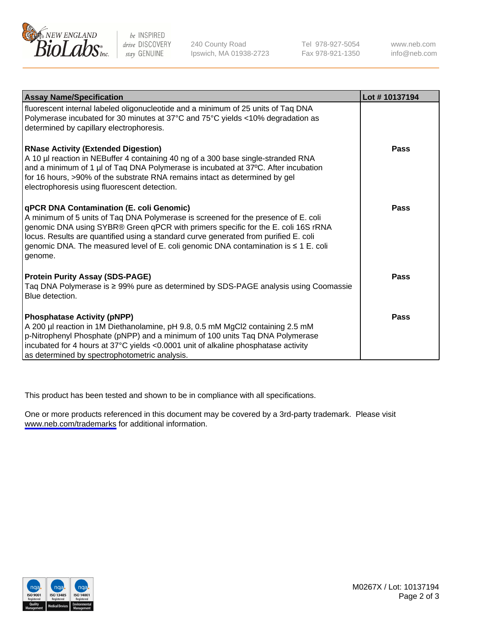

be INSPIRED drive DISCOVERY stay GENUINE

240 County Road Ipswich, MA 01938-2723 Tel 978-927-5054 Fax 978-921-1350

www.neb.com info@neb.com

| <b>Assay Name/Specification</b>                                                                                                                                                                                                                                                                                                                                                                               | Lot #10137194 |
|---------------------------------------------------------------------------------------------------------------------------------------------------------------------------------------------------------------------------------------------------------------------------------------------------------------------------------------------------------------------------------------------------------------|---------------|
| fluorescent internal labeled oligonucleotide and a minimum of 25 units of Taq DNA<br>Polymerase incubated for 30 minutes at 37°C and 75°C yields <10% degradation as<br>determined by capillary electrophoresis.                                                                                                                                                                                              |               |
| <b>RNase Activity (Extended Digestion)</b><br>A 10 µl reaction in NEBuffer 4 containing 40 ng of a 300 base single-stranded RNA<br>and a minimum of 1 µl of Taq DNA Polymerase is incubated at 37°C. After incubation<br>for 16 hours, >90% of the substrate RNA remains intact as determined by gel<br>electrophoresis using fluorescent detection.                                                          | Pass          |
| qPCR DNA Contamination (E. coli Genomic)<br>A minimum of 5 units of Taq DNA Polymerase is screened for the presence of E. coli<br>genomic DNA using SYBR® Green qPCR with primers specific for the E. coli 16S rRNA<br>locus. Results are quantified using a standard curve generated from purified E. coli<br>genomic DNA. The measured level of E. coli genomic DNA contamination is ≤ 1 E. coli<br>genome. | Pass          |
| <b>Protein Purity Assay (SDS-PAGE)</b><br>Taq DNA Polymerase is ≥ 99% pure as determined by SDS-PAGE analysis using Coomassie<br>Blue detection.                                                                                                                                                                                                                                                              | Pass          |
| <b>Phosphatase Activity (pNPP)</b><br>A 200 µl reaction in 1M Diethanolamine, pH 9.8, 0.5 mM MgCl2 containing 2.5 mM<br>p-Nitrophenyl Phosphate (pNPP) and a minimum of 100 units Taq DNA Polymerase<br>incubated for 4 hours at 37°C yields <0.0001 unit of alkaline phosphatase activity<br>as determined by spectrophotometric analysis.                                                                   | Pass          |

This product has been tested and shown to be in compliance with all specifications.

One or more products referenced in this document may be covered by a 3rd-party trademark. Please visit <www.neb.com/trademarks>for additional information.